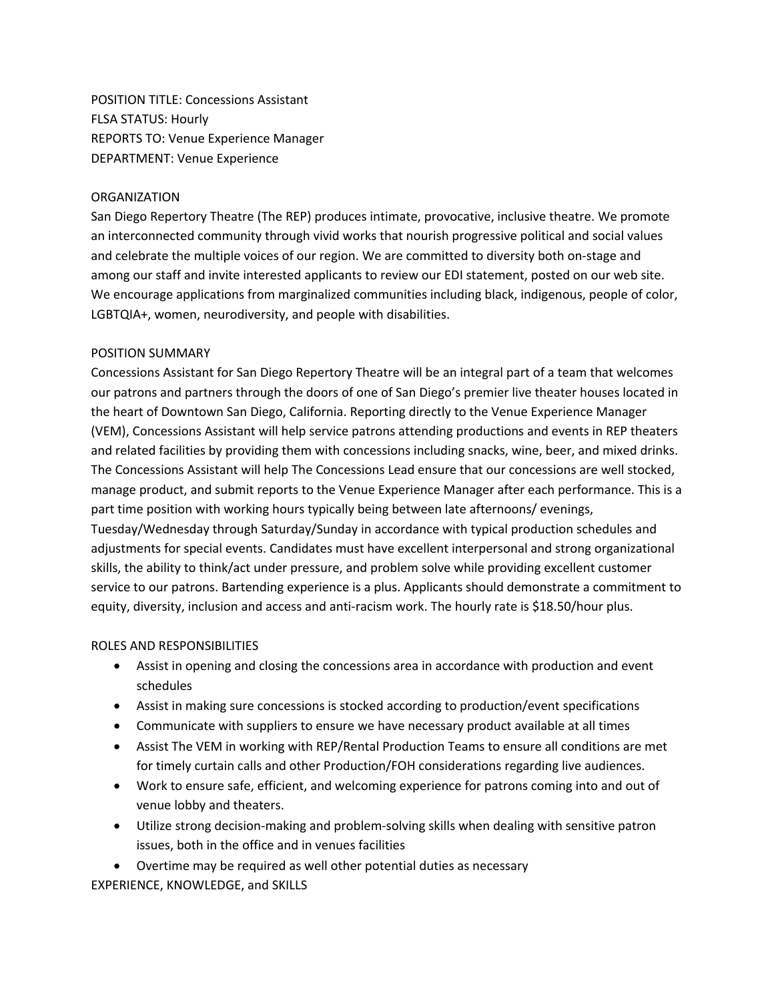POSITION TITLE: Concessions Assistant FLSA STATUS: Hourly REPORTS TO: Venue Experience Manager DEPARTMENT: Venue Experience

## **ORGANIZATION**

San Diego Repertory Theatre (The REP) produces intimate, provocative, inclusive theatre. We promote an interconnected community through vivid works that nourish progressive political and social values and celebrate the multiple voices of our region. We are committed to diversity both on-stage and among our staff and invite interested applicants to review our EDI statement, posted on our web site. We encourage applications from marginalized communities including black, indigenous, people of color, LGBTQIA+, women, neurodiversity, and people with disabilities.

## POSITION SUMMARY

Concessions Assistant for San Diego Repertory Theatre will be an integral part of a team that welcomes our patrons and partners through the doors of one of San Diego's premier live theater houses located in the heart of Downtown San Diego, California. Reporting directly to the Venue Experience Manager (VEM), Concessions Assistant will help service patrons attending productions and events in REP theaters and related facilities by providing them with concessions including snacks, wine, beer, and mixed drinks. The Concessions Assistant will help The Concessions Lead ensure that our concessions are well stocked, manage product, and submit reports to the Venue Experience Manager after each performance. This is a part time position with working hours typically being between late afternoons/ evenings, Tuesday/Wednesday through Saturday/Sunday in accordance with typical production schedules and adjustments for special events. Candidates must have excellent interpersonal and strong organizational skills, the ability to think/act under pressure, and problem solve while providing excellent customer service to our patrons. Bartending experience is a plus. Applicants should demonstrate a commitment to equity, diversity, inclusion and access and anti-racism work. The hourly rate is \$18.50/hour plus.

#### ROLES AND RESPONSIBILITIES

- Assist in opening and closing the concessions area in accordance with production and event schedules
- Assist in making sure concessions is stocked according to production/event specifications
- Communicate with suppliers to ensure we have necessary product available at all times
- Assist The VEM in working with REP/Rental Production Teams to ensure all conditions are met for timely curtain calls and other Production/FOH considerations regarding live audiences.
- Work to ensure safe, efficient, and welcoming experience for patrons coming into and out of venue lobby and theaters.
- Utilize strong decision-making and problem-solving skills when dealing with sensitive patron issues, both in the office and in venues facilities

• Overtime may be required as well other potential duties as necessary EXPERIENCE, KNOWLEDGE, and SKILLS